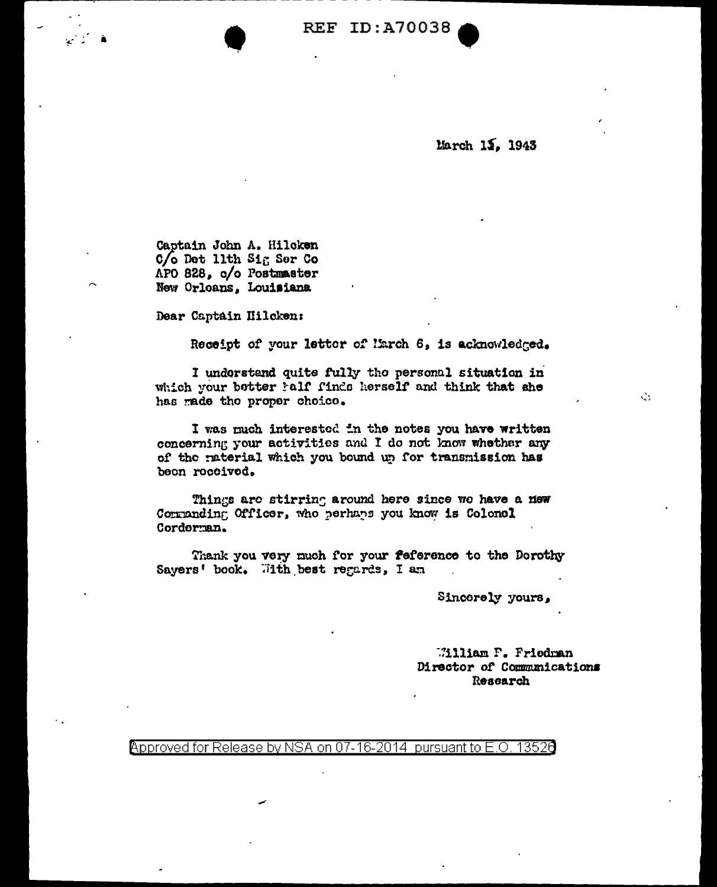**REF ID: A70038** 

March 15. 1943

Captain John A. Hilcken  $C/O$  Det 11th Sig Ser Co APO 828, c/o Postmaster New Orloans, Louisiana

Dear Captain Hilcken:

Receipt of your letter of March 6, is acknowledged.

I understand quite fully the personal situation in which your botter half finds herself and think that she has made the proper choice.

I was much interested in the notes you have written concerning your activities and I do not know whether any of the raterial which you bound up for transmission has been received.

Things are stirring around here since we have a new Corranding Officer, who perhaps you know is Colonel Cordorman.

Thank you very much for your feference to the Dorothy Sayers' book. With best regards, I am

Sincerely yours,

William F. Friedman Director of Communications Research

Approved for Release by NSA on 07-16-2014 pursuant to E.O. 13526

 $\mathcal{L}_{\mathcal{F}}$